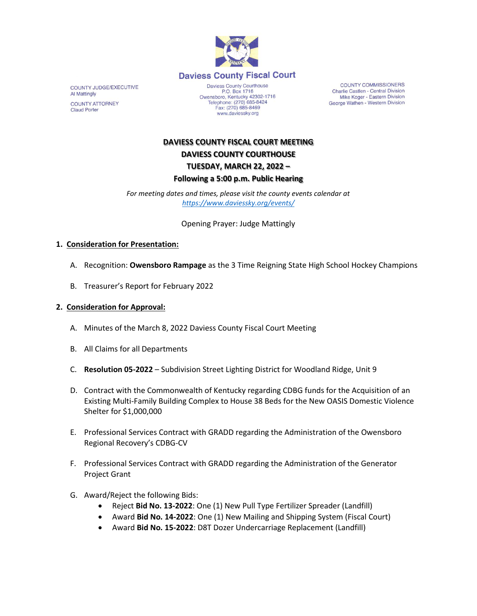

COUNTY JUDGE/EXECUTIVE Al Mattingly **COUNTY ATTORNEY Claud Porter** 

Daviess County Courthouse P.O. Box 1716<br>Owensboro, Kentucky 42302-1716<br>Telephone: (270) 685-8424 Fax: (270) 685-8469 www.daviessky.org

**COUNTY COMMISSIONERS** Charlie Castlen - Central Division Mike Koger - Eastern Division George Wathen - Western Division

# **DAVIESS COUNTY FISCAL COURT MEETING DAVIESS COUNTY COURTHOUSE TUESDAY, MARCH 22, 2022 – Following a 5:00 p.m. Public Hearing**

*For meeting dates and times, please visit the county events calendar at <https://www.daviessky.org/events/>*

Opening Prayer: Judge Mattingly

### **1. Consideration for Presentation:**

- A. Recognition: **Owensboro Rampage** as the 3 Time Reigning State High School Hockey Champions
- B. Treasurer's Report for February 2022

### **2. Consideration for Approval:**

- A. Minutes of the March 8, 2022 Daviess County Fiscal Court Meeting
- B. All Claims for all Departments
- C. **Resolution 05-2022** Subdivision Street Lighting District for Woodland Ridge, Unit 9
- D. Contract with the Commonwealth of Kentucky regarding CDBG funds for the Acquisition of an Existing Multi-Family Building Complex to House 38 Beds for the New OASIS Domestic Violence Shelter for \$1,000,000
- E. Professional Services Contract with GRADD regarding the Administration of the Owensboro Regional Recovery's CDBG-CV
- F. Professional Services Contract with GRADD regarding the Administration of the Generator Project Grant
- G. Award/Reject the following Bids:
	- Reject **Bid No. 13-2022**: One (1) New Pull Type Fertilizer Spreader (Landfill)
	- Award **Bid No. 14-2022**: One (1) New Mailing and Shipping System (Fiscal Court)
	- Award **Bid No. 15-2022**: D8T Dozer Undercarriage Replacement (Landfill)